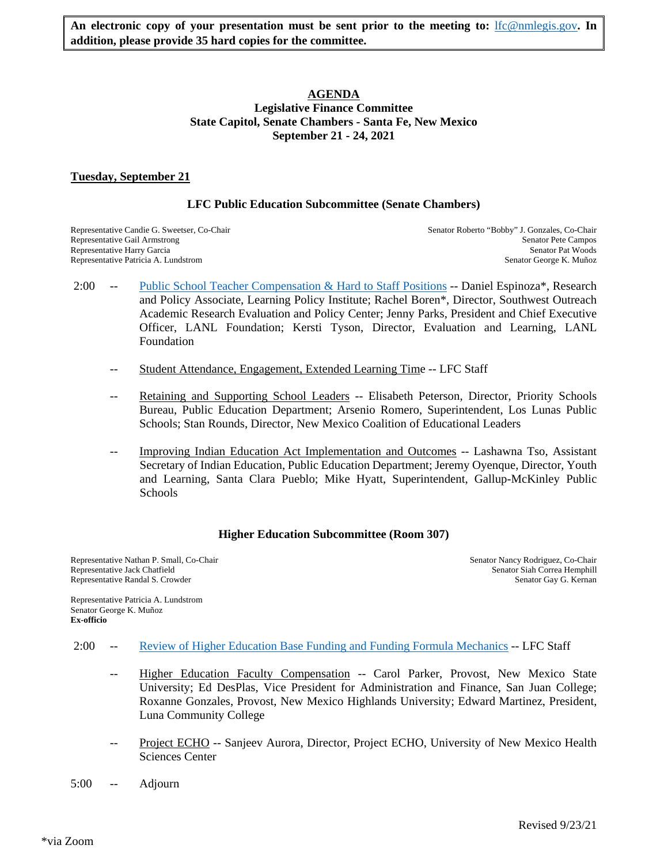# **AGENDA Legislative Finance Committee State Capitol, Senate Chambers - Santa Fe, New Mexico September 21 - 24, 2021**

# **Tuesday, September 21**

# **LFC Public Education Subcommittee (Senate Chambers)**

Representative Patricia A. Lundstrom

Representative Candie G. Sweetser, Co-Chair Senator Roberto "Bobby" J. Gonzales, Co-Chair Senator Roberto "Bobby" J. Gonzales, Co-Chair Representative Gail Armstrong Senator Pete Campos Senator Pete Campos Senator Pete Campos Senator Pete Campos Senator Pete Campos Senator Pete Campos Senator Pete Campos Senator Pat Woods Representative Harry Garcia Senator Pat Woods<br>
Representative Patricia A. Lundstrom Senator George K. Muñoz

- 2:00 -- [Public School Teacher Compensation & Hard to Staff Positions](https://www.nmlegis.gov/Committee/Handouts?CommitteeCode=ALFC&Date=9/21/2021&ItemNumber=1) -- Daniel Espinoza\*, Research and Policy Associate, Learning Policy Institute; Rachel Boren\*, Director, Southwest Outreach Academic Research Evaluation and Policy Center; Jenny Parks, President and Chief Executive Officer, LANL Foundation; Kersti Tyson, Director, Evaluation and Learning, LANL Foundation
	- Student Attendance, Engagement, Extended Learning Time -- LFC Staff
	- Retaining and Supporting School Leaders -- Elisabeth Peterson, Director, Priority Schools Bureau, Public Education Department; Arsenio Romero, Superintendent, Los Lunas Public Schools; Stan Rounds, Director, New Mexico Coalition of Educational Leaders
	- Improving Indian Education Act Implementation and Outcomes -- Lashawna Tso, Assistant Secretary of Indian Education, Public Education Department; Jeremy Oyenque, Director, Youth and Learning, Santa Clara Pueblo; Mike Hyatt, Superintendent, Gallup-McKinley Public **Schools**

# **Higher Education Subcommittee (Room 307)**

Representative Nathan P. Small, Co-Chair Senator Nancy Rodriguez, Co-Chair Senator Nancy Rodriguez, Co-Chair Senator Nancy Rodriguez, Co-Chair Senator Siah Correa Hemphill Representative Randal S. Crowder Senator Gay G. Kernan Senator Gay G. Kernan Senator Gay G. Kernan

Senator Siah Correa Hemphill

Representative Patricia A. Lundstrom Senator George K. Muñoz **Ex-officio**

- 2:00 -- [Review of Higher Education Base Funding and Funding Formula Mechanics](https://www.nmlegis.gov/Committee/Handouts?CommitteeCode=ALFC&Date=9/21/2021&ItemNumber=2) -- LFC Staff
	- Higher Education Faculty Compensation -- Carol Parker, Provost, New Mexico State University; Ed DesPlas, Vice President for Administration and Finance, San Juan College; Roxanne Gonzales, Provost, New Mexico Highlands University; Edward Martinez, President, Luna Community College
	- Project ECHO -- Sanjeev Aurora, Director, Project ECHO, University of New Mexico Health Sciences Center
- 5:00 -- Adjourn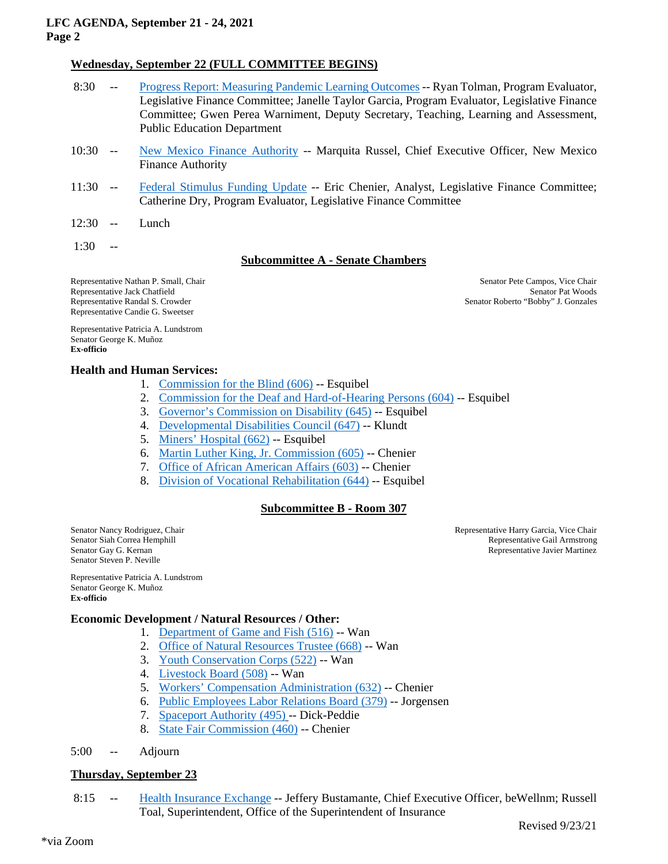## **LFC AGENDA, September 21 - 24, 2021 Page 2**

# **Wednesday, September 22 (FULL COMMITTEE BEGINS)**

- 8:30 -- [Progress Report: Measuring Pandemic Learning Outcomes](https://www.nmlegis.gov/Committee/Handouts?CommitteeCode=ALFC&Date=9/21/2021&ItemNumber=3) -- Ryan Tolman, Program Evaluator, Legislative Finance Committee; Janelle Taylor Garcia, Program Evaluator, Legislative Finance Committee; Gwen Perea Warniment, Deputy Secretary, Teaching, Learning and Assessment, Public Education Department
- 10:30 -- [New Mexico Finance Authority](https://www.nmlegis.gov/Committee/Handouts?CommitteeCode=ALFC&Date=9/21/2021&ItemNumber=4) -- Marquita Russel, Chief Executive Officer, New Mexico Finance Authority
- 11:30 -- [Federal Stimulus Funding Update](https://www.nmlegis.gov/Committee/Handouts?CommitteeCode=ALFC&Date=9/21/2021&ItemNumber=5) -- Eric Chenier, Analyst, Legislative Finance Committee; Catherine Dry, Program Evaluator, Legislative Finance Committee
- 12:30 -- Lunch
- 1:30 --

# **Subcommittee A - Senate Chambers**

Representative Nathan P. Small, Chair Senator Pete Campos, Vice Chair Senator Pete Campos, Vice Chair Senator Pete Campos, Vice Chair Senator Pete Campos, Vice Chair Senator Pat Woods Representative Jack Chatfield Representative Randal S. Crowder Senator Roberto "Bobby" J. Gonzales Representative Candie G. Sweetser

Representative Patricia A. Lundstrom Senator George K. Muñoz **Ex-officio**

## **Health and Human Services:**

- 1. [Commission for the Blind \(606\)](https://www.nmlegis.gov/Committee/Handouts?CommitteeCode=ALFC&Date=9/21/2021&ItemNumber=6) -- Esquibel
- 2. [Commission for the Deaf and Hard-of-Hearing Persons \(604\)](https://www.nmlegis.gov/Committee/Handouts?CommitteeCode=ALFC&Date=9/21/2021&ItemNumber=7) -- Esquibel
- 3. [Governor's Commission on Disability \(645\)](https://www.nmlegis.gov/Committee/Handouts?CommitteeCode=ALFC&Date=9/21/2021&ItemNumber=8) -- Esquibel
- 4. [Developmental Disabilities Council \(647\)](https://www.nmlegis.gov/Committee/Handouts?CommitteeCode=ALFC&Date=9/21/2021&ItemNumber=9) -- Klundt
- 5. [Miners' Hospital \(662\)](https://www.nmlegis.gov/Committee/Handouts?CommitteeCode=ALFC&Date=9/21/2021&ItemNumber=10) -- Esquibel
- 6. [Martin Luther King, Jr. Commission \(605\)](https://www.nmlegis.gov/Committee/Handouts?CommitteeCode=ALFC&Date=9/21/2021&ItemNumber=11) -- Chenier
- 7. [Office of African American Affairs \(603\)](https://www.nmlegis.gov/Committee/Handouts?CommitteeCode=ALFC&Date=9/21/2021&ItemNumber=12) -- Chenier
- 8. [Division of Vocational Rehabilitation \(644\)](https://www.nmlegis.gov/Committee/Handouts?CommitteeCode=ALFC&Date=9/21/2021&ItemNumber=13) -- Esquibel

# **Subcommittee B - Room 307**

Senator Steven P. Neville

Senator Nancy Rodriguez, Chair **Representative Harry Garcia, Vice Chair** Representative Harry Garcia, Vice Chair Senator Siah Correa Hemphill **Senator Siah Correa Hemphill** Representative Gail Armstrong Senator Gay G. Kernan<br>
Representative Javier Martinez Representative Javier Martinez

Representative Patricia A. Lundstrom Senator George K. Muñoz **Ex-officio**

# **Economic Development / Natural Resources / Other:**

- 1. [Department of Game and Fish \(516\)](https://www.nmlegis.gov/Committee/Handouts?CommitteeCode=ALFC&Date=9/21/2021&ItemNumber=14) -- Wan
- 2. [Office of Natural Resources Trustee \(668\)](https://www.nmlegis.gov/Committee/Handouts?CommitteeCode=ALFC&Date=9/21/2021&ItemNumber=15) -- Wan
- 3. [Youth Conservation Corps \(522\)](https://www.nmlegis.gov/Committee/Handouts?CommitteeCode=ALFC&Date=9/21/2021&ItemNumber=16) -- Wan
- 4. [Livestock Board \(508\)](https://www.nmlegis.gov/Committee/Handouts?CommitteeCode=ALFC&Date=9/21/2021&ItemNumber=17) -- Wan
- 5. [Workers' Compensation Administration \(632\)](https://www.nmlegis.gov/Committee/Handouts?CommitteeCode=ALFC&Date=9/21/2021&ItemNumber=18) -- Chenier
- 6. [Public Employees Labor Relations Board \(379\)](https://www.nmlegis.gov/Committee/Handouts?CommitteeCode=ALFC&Date=9/21/2021&ItemNumber=19) -- Jorgensen
- 7. [Spaceport Authority \(495\)](https://www.nmlegis.gov/Committee/Handouts?CommitteeCode=ALFC&Date=9/21/2021&ItemNumber=20) -- Dick-Peddie
- 8. [State Fair Commission \(460\)](https://www.nmlegis.gov/Committee/Handouts?CommitteeCode=ALFC&Date=9/21/2021&ItemNumber=21) -- Chenier

5:00 -- Adjourn

# **Thursday, September 23**

8:15 -- [Health Insurance Exchange](https://www.nmlegis.gov/Committee/Handouts?CommitteeCode=ALFC&Date=9/21/2021&ItemNumber=22) -- Jeffery Bustamante, Chief Executive Officer, beWellnm; Russell Toal, Superintendent, Office of the Superintendent of Insurance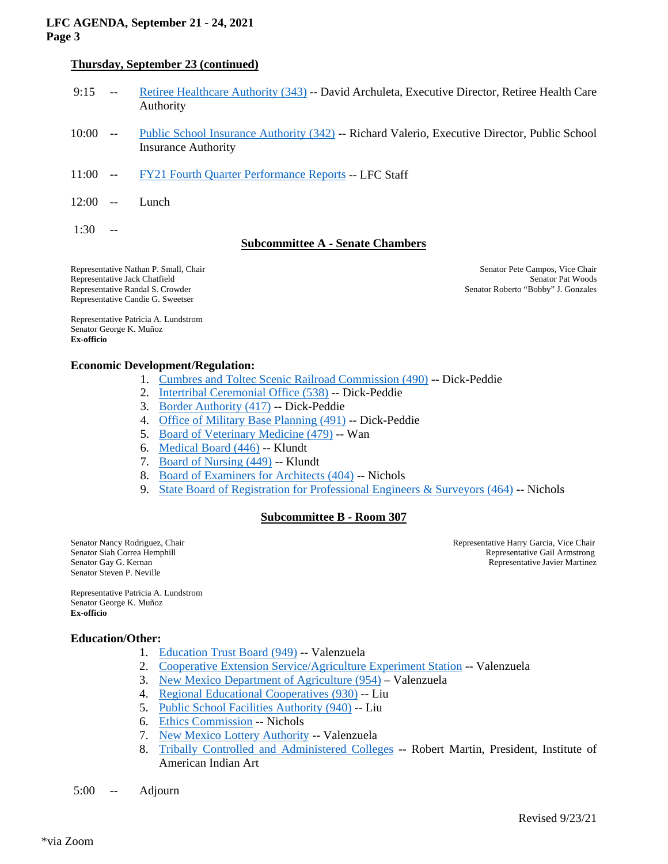## **LFC AGENDA, September 21 - 24, 2021 Page 3**

# **Thursday, September 23 (continued)**

| 9:15                                                                                                                                            |                          | Retiree Healthcare Authority (343) -- David Archuleta, Executive Director, Retiree Health Care<br>Authority                 |                                                                                             |
|-------------------------------------------------------------------------------------------------------------------------------------------------|--------------------------|-----------------------------------------------------------------------------------------------------------------------------|---------------------------------------------------------------------------------------------|
| 10:00                                                                                                                                           | $\overline{\phantom{m}}$ | Public School Insurance Authority (342) -- Richard Valerio, Executive Director, Public School<br><b>Insurance Authority</b> |                                                                                             |
| 11:00                                                                                                                                           | $\overline{\phantom{m}}$ | FY21 Fourth Quarter Performance Reports -- LFC Staff                                                                        |                                                                                             |
| 12:00                                                                                                                                           | $-$                      | Lunch                                                                                                                       |                                                                                             |
| 1:30                                                                                                                                            | $-$                      | <b>Subcommittee A - Senate Chambers</b>                                                                                     |                                                                                             |
| Representative Nathan P. Small, Chair<br>Representative Jack Chatfield<br>Representative Randal S. Crowder<br>Representative Candie G. Sweetser |                          |                                                                                                                             | Senator Pete Campos, Vice Chair<br>Senator Pat Woods<br>Senator Roberto "Bobby" J. Gonzales |
| Senator George K. Muñoz<br>Ex-officio                                                                                                           |                          | Representative Patricia A. Lundstrom                                                                                        |                                                                                             |

#### **Economic Development/Regulation:**

- 1. [Cumbres and Toltec Scenic Railroad Commission \(490\)](https://www.nmlegis.gov/Committee/Handouts?CommitteeCode=ALFC&Date=9/21/2021&ItemNumber=26) -- Dick-Peddie
- 2. [Intertribal Ceremonial Office \(538\)](https://www.nmlegis.gov/Committee/Handouts?CommitteeCode=ALFC&Date=9/21/2021&ItemNumber=27) -- Dick-Peddie
- 3. [Border Authority \(417\)](https://www.nmlegis.gov/Committee/Handouts?CommitteeCode=ALFC&Date=9/21/2021&ItemNumber=28) -- Dick-Peddie
- 4. [Office of Military Base Planning \(491\)](https://www.nmlegis.gov/Committee/Handouts?CommitteeCode=ALFC&Date=9/21/2021&ItemNumber=29) -- Dick-Peddie
- 5. [Board of Veterinary Medicine \(479\)](https://www.nmlegis.gov/Committee/Handouts?CommitteeCode=ALFC&Date=9/21/2021&ItemNumber=30) -- Wan
- 6. [Medical Board \(446\)](https://www.nmlegis.gov/Committee/Handouts?CommitteeCode=ALFC&Date=9/21/2021&ItemNumber=31) -- Klundt
- 7. [Board of Nursing \(449\)](https://www.nmlegis.gov/Committee/Handouts?CommitteeCode=ALFC&Date=9/21/2021&ItemNumber=32) -- Klundt
- 8. [Board of Examiners for Architects \(404\)](https://www.nmlegis.gov/Committee/Handouts?CommitteeCode=ALFC&Date=9/21/2021&ItemNumber=33) -- Nichols
- 9. State Board of Registration for Professional Engineers & Surveyors  $(464)$  -- Nichols

#### **Subcommittee B - Room 307**

Senator Steven P. Neville

Senator Nancy Rodriguez, Chair Chair Senator Sah Correa Hemphill<br>Senator Siah Correa Hemphill Representative Gail Armstrong Senator Siah Correa Hemphill **Senator Siah Correa Hemphill** Representative Gail Armstrong Senator Gay G. Kernan<br>Representative Javier Martinez Representative Javier Martinez

Representative Patricia A. Lundstrom Senator George K. Muñoz **Ex-officio**

#### **Education/Other:**

- 1. [Education Trust Board \(949\)](https://www.nmlegis.gov/Committee/Handouts?CommitteeCode=ALFC&Date=9/21/2021&ItemNumber=35) -- Valenzuela
- 2. [Cooperative Extension Service/Agriculture Experiment Station](https://www.nmlegis.gov/Committee/Handouts?CommitteeCode=ALFC&Date=9/21/2021&ItemNumber=36) -- Valenzuela
- 3. [New Mexico Department of Agriculture \(954\)](https://www.nmlegis.gov/Committee/Handouts?CommitteeCode=ALFC&Date=9/21/2021&ItemNumber=37) Valenzuela
- 4. [Regional Educational Cooperatives \(930\)](https://www.nmlegis.gov/Committee/Handouts?CommitteeCode=ALFC&Date=9/21/2021&ItemNumber=38) -- Liu
- 5. [Public School Facilities Authority \(940\)](https://www.nmlegis.gov/Committee/Handouts?CommitteeCode=ALFC&Date=9/21/2021&ItemNumber=39) -- Liu
- 6. [Ethics Commission](https://www.nmlegis.gov/Committee/Handouts?CommitteeCode=ALFC&Date=9/21/2021&ItemNumber=40) -- Nichols
- 7. [New Mexico Lottery Authority](https://www.nmlegis.gov/Committee/Handouts?CommitteeCode=ALFC&Date=9/21/2021&ItemNumber=41) -- Valenzuela
- 8. [Tribally Controlled and Administered Colleges](https://www.nmlegis.gov/Committee/Handouts?CommitteeCode=ALFC&Date=9/21/2021&ItemNumber=42) -- Robert Martin, President, Institute of American Indian Art
- 5:00 -- Adjourn